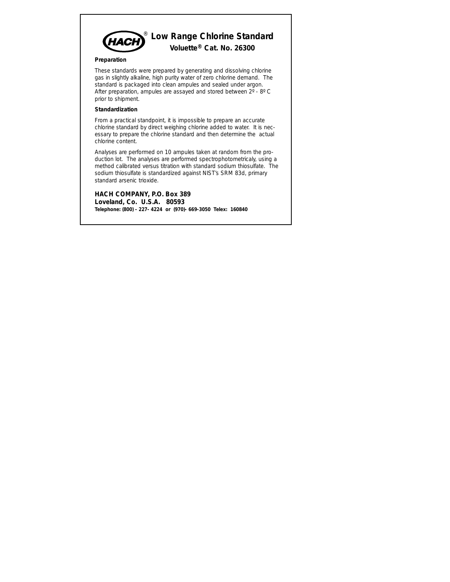

### **Preparation**

These standards were prepared by generating and dissolving chlorine gas in slightly alkaline, high purity water of zero chlorine demand. The standard is packaged into clean ampules and sealed under argon. After preparation, ampules are assayed and stored between 2º - 8º C prior to shipment.

#### **Standardization**

From a practical standpoint, it is impossible to prepare an accurate chlorine standard by direct weighing chlorine added to water. It is necessary to prepare the chlorine standard and then determine the actual chlorine content.

Analyses are performed on 10 ampules taken at random from the production lot. The analyses are performed spectrophotometricaly, using a method calibrated versus titration with standard sodium thiosulfate. The sodium thiosulfate is standardized against NIST's SRM 83d, primary standard arsenic trioxide.

**HACH COMPANY, P.O. Box 389 Loveland, Co. U.S.A. 80593 Telephone: (800) - 227- 4224 or (970)- 669-3050 Telex: 160840**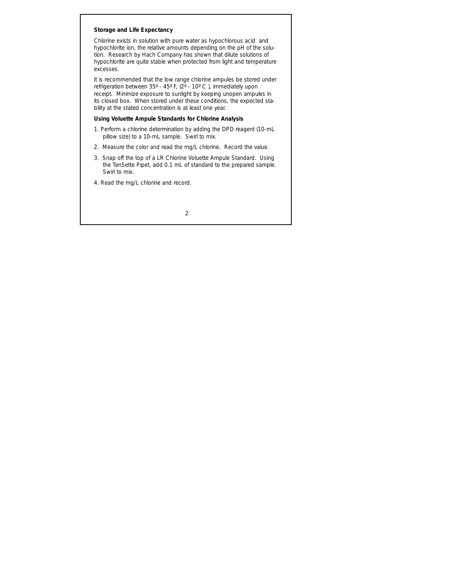# **Storage and Life Expectancy**

Chlorine exists in solution with pure water as hypochlorous acid and hypochlorite ion, the relative amounts depending on the pH of the solution. Research by Hach Company has shown that dilute solutions of hypochlorite are quite stable when protected from light and temperature excesses.

It is recommended that the low range chlorine ampules be stored under refrigeration between 35º - 45º F, (2º - 10º C ), immediately upon receipt. Minimize exposure to sunlight by keeping unopen ampules in its closed box. When stored under these conditions, the expected stability at the stated concentration is at least one year.

# **Using Voluette Ampule Standards for Chlorine Analysis**

- 1. Perform a chlorine determination by adding the DPD reagent (10-mL pillow size) to a 10-mL sample. Swirl to mix.
- 2. Measure the color and read the mg/L chlorine. Record the value.
- 3. Snap off the top of a LR Chlorine Voluette Ampule Standard. Using the TenSette Pipet, add 0.1 mL of standard to the prepared sample. Swirl to mix.
- 4. Read the mg/L chlorine and record.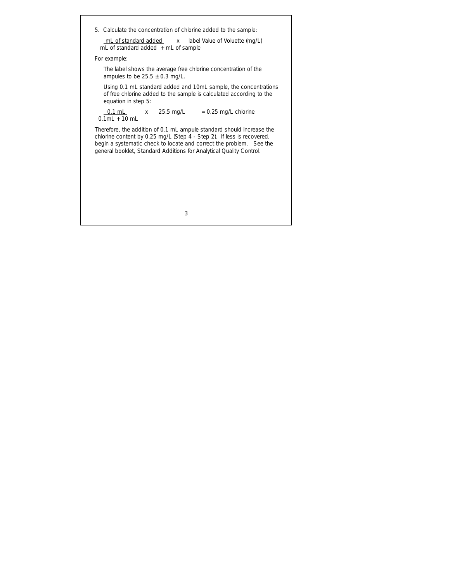5. Calculate the concentration of chlorine added to the sample:

mL of standard added x label Value of Voluette (mg/L) mL of standard added + mL of sample

*For example:*

The label shows the average free chlorine concentration of the ampules to be  $25.5 \pm 0.3$  mg/L.

Using 0.1 mL standard added and 10mL sample, the concentrations of free chlorine added to the sample is calculated according to the equation in step 5:

 $0.1$  mL  $x = 25.5$  mg/L  $= 0.25$  mg/L chlorine  $0.1$ ml + 10 ml

Therefore, the addition of 0.1 mL ampule standard should increase the chlorine content by 0.25 mg/L (Step 4 - Step 2). If less is recovered, begin a systematic check to locate and correct the problem. See the general booklet, *Standard Additions for Analytical Quality Control.*